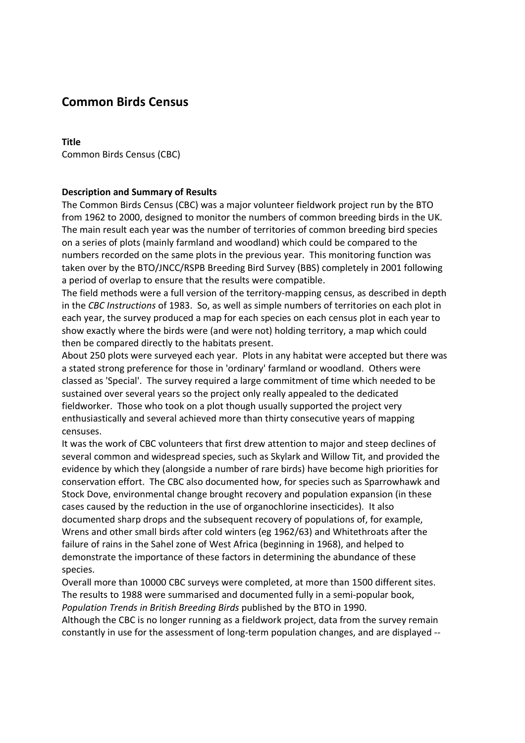# **Common Birds Census**

#### **Title**

Common Birds Census (CBC)

# **Description and Summary of Results**

The Common Birds Census (CBC) was a major volunteer fieldwork project run by the BTO from 1962 to 2000, designed to monitor the numbers of common breeding birds in the UK. The main result each year was the number of territories of common breeding bird species on a series of plots (mainly farmland and woodland) which could be compared to the numbers recorded on the same plots in the previous year. This monitoring function was taken over by the BTO/JNCC/RSPB Breeding Bird Survey (BBS) completely in 2001 following a period of overlap to ensure that the results were compatible.

The field methods were a full version of the territory-mapping census, as described in depth in the *CBC Instructions* of 1983. So, as well as simple numbers of territories on each plot in each year, the survey produced a map for each species on each census plot in each year to show exactly where the birds were (and were not) holding territory, a map which could then be compared directly to the habitats present.

About 250 plots were surveyed each year. Plots in any habitat were accepted but there was a stated strong preference for those in 'ordinary' farmland or woodland. Others were classed as 'Special'. The survey required a large commitment of time which needed to be sustained over several years so the project only really appealed to the dedicated fieldworker. Those who took on a plot though usually supported the project very enthusiastically and several achieved more than thirty consecutive years of mapping censuses.

It was the work of CBC volunteers that first drew attention to major and steep declines of several common and widespread species, such as Skylark and Willow Tit, and provided the evidence by which they (alongside a number of rare birds) have become high priorities for conservation effort. The CBC also documented how, for species such as Sparrowhawk and Stock Dove, environmental change brought recovery and population expansion (in these cases caused by the reduction in the use of organochlorine insecticides). It also documented sharp drops and the subsequent recovery of populations of, for example, Wrens and other small birds after cold winters (eg 1962/63) and Whitethroats after the failure of rains in the Sahel zone of West Africa (beginning in 1968), and helped to demonstrate the importance of these factors in determining the abundance of these species.

Overall more than 10000 CBC surveys were completed, at more than 1500 different sites. The results to 1988 were summarised and documented fully in a semi-popular book, *Population Trends in British Breeding Birds* published by the BTO in 1990.

Although the CBC is no longer running as a fieldwork project, data from the survey remain constantly in use for the assessment of long-term population changes, and are displayed --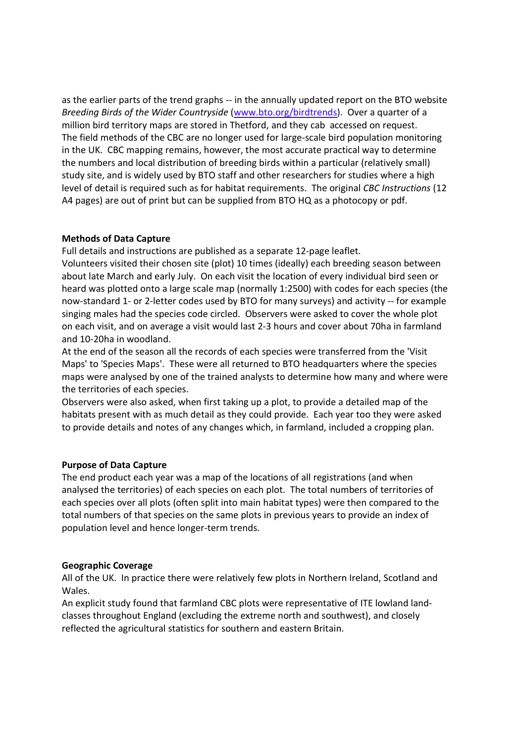as the earlier parts of the trend graphs -- in the annually updated report on the BTO website *Breeding Birds of the Wider Countryside* (www.bto.org/birdtrends). Over a quarter of a million bird territory maps are stored in Thetford, and they cab accessed on request. The field methods of the CBC are no longer used for large-scale bird population monitoring in the UK. CBC mapping remains, however, the most accurate practical way to determine the numbers and local distribution of breeding birds within a particular (relatively small) study site, and is widely used by BTO staff and other researchers for studies where a high level of detail is required such as for habitat requirements. The original *CBC Instructions* (12 A4 pages) are out of print but can be supplied from BTO HQ as a photocopy or pdf.

# **Methods of Data Capture**

Full details and instructions are published as a separate 12-page leaflet.

Volunteers visited their chosen site (plot) 10 times (ideally) each breeding season between about late March and early July. On each visit the location of every individual bird seen or heard was plotted onto a large scale map (normally 1:2500) with codes for each species (the now-standard 1- or 2-letter codes used by BTO for many surveys) and activity -- for example singing males had the species code circled. Observers were asked to cover the whole plot on each visit, and on average a visit would last 2-3 hours and cover about 70ha in farmland and 10-20ha in woodland.

At the end of the season all the records of each species were transferred from the 'Visit Maps' to 'Species Maps'. These were all returned to BTO headquarters where the species maps were analysed by one of the trained analysts to determine how many and where were the territories of each species.

Observers were also asked, when first taking up a plot, to provide a detailed map of the habitats present with as much detail as they could provide. Each year too they were asked to provide details and notes of any changes which, in farmland, included a cropping plan.

#### **Purpose of Data Capture**

The end product each year was a map of the locations of all registrations (and when analysed the territories) of each species on each plot. The total numbers of territories of each species over all plots (often split into main habitat types) were then compared to the total numbers of that species on the same plots in previous years to provide an index of population level and hence longer-term trends.

#### **Geographic Coverage**

All of the UK. In practice there were relatively few plots in Northern Ireland, Scotland and Wales.

An explicit study found that farmland CBC plots were representative of ITE lowland landclasses throughout England (excluding the extreme north and southwest), and closely reflected the agricultural statistics for southern and eastern Britain.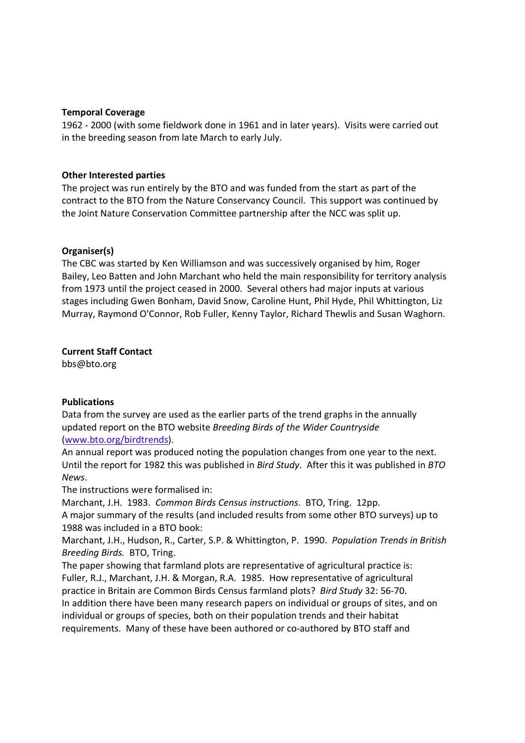## **Temporal Coverage**

1962 - 2000 (with some fieldwork done in 1961 and in later years). Visits were carried out in the breeding season from late March to early July.

## **Other Interested parties**

The project was run entirely by the BTO and was funded from the start as part of the contract to the BTO from the Nature Conservancy Council. This support was continued by the Joint Nature Conservation Committee partnership after the NCC was split up.

## **Organiser(s)**

The CBC was started by Ken Williamson and was successively organised by him, Roger Bailey, Leo Batten and John Marchant who held the main responsibility for territory analysis from 1973 until the project ceased in 2000. Several others had major inputs at various stages including Gwen Bonham, David Snow, Caroline Hunt, Phil Hyde, Phil Whittington, Liz Murray, Raymond O'Connor, Rob Fuller, Kenny Taylor, Richard Thewlis and Susan Waghorn.

## **Current Staff Contact**

bbs@bto.org

# **Publications**

Data from the survey are used as the earlier parts of the trend graphs in the annually updated report on the BTO website *Breeding Birds of the Wider Countryside* (www.bto.org/birdtrends).

An annual report was produced noting the population changes from one year to the next. Until the report for 1982 this was published in *Bird Study*. After this it was published in *BTO News*.

The instructions were formalised in:

Marchant, J.H. 1983. *Common Birds Census instructions*. BTO, Tring. 12pp. A major summary of the results (and included results from some other BTO surveys) up to 1988 was included in a BTO book:

Marchant, J.H., Hudson, R., Carter, S.P. & Whittington, P. 1990. *Population Trends in British Breeding Birds.* BTO, Tring.

The paper showing that farmland plots are representative of agricultural practice is: Fuller, R.J., Marchant, J.H. & Morgan, R.A. 1985. How representative of agricultural practice in Britain are Common Birds Census farmland plots? *Bird Study* 32: 56-70. In addition there have been many research papers on individual or groups of sites, and on individual or groups of species, both on their population trends and their habitat requirements. Many of these have been authored or co-authored by BTO staff and